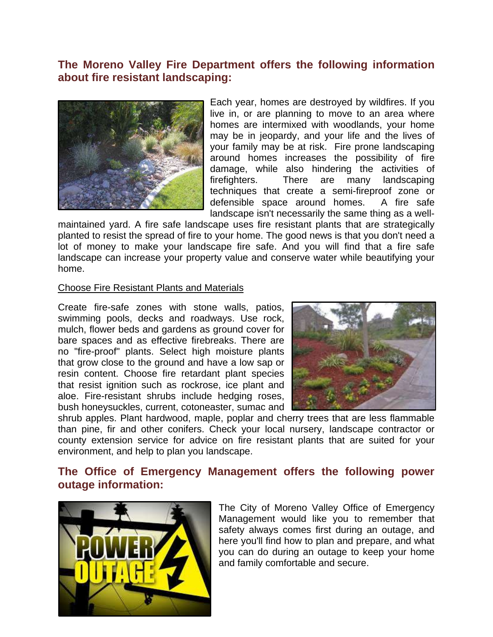# **The Moreno Valley Fire Department offers the following information about fire resistant landscaping:**



Each year, homes are destroyed by wildfires. If you live in, or are planning to move to an area where homes are intermixed with woodlands, your home may be in jeopardy, and your life and the lives of your family may be at risk. Fire prone landscaping around homes increases the possibility of fire damage, while also hindering the activities of firefighters. There are many landscaping techniques that create a semi-fireproof zone or defensible space around homes. A fire safe landscape isn't necessarily the same thing as a well-

maintained yard. A fire safe landscape uses fire resistant plants that are strategically planted to resist the spread of fire to your home. The good news is that you don't need a lot of money to make your landscape fire safe. And you will find that a fire safe landscape can increase your property value and conserve water while beautifying your home.

#### Choose Fire Resistant Plants and Materials

Create fire-safe zones with stone walls, patios, swimming pools, decks and roadways. Use rock, mulch, flower beds and gardens as ground cover for bare spaces and as effective firebreaks. There are no "fire-proof" plants. Select high moisture plants that grow close to the ground and have a low sap or resin content. Choose fire retardant plant species that resist ignition such as rockrose, ice plant and aloe. Fire-resistant shrubs include hedging roses, bush honeysuckles, current, cotoneaster, sumac and



shrub apples. Plant hardwood, maple, poplar and cherry trees that are less flammable than pine, fir and other conifers. Check your local nursery, landscape contractor or county extension service for advice on fire resistant plants that are suited for your environment, and help to plan you landscape.

## **The Office of Emergency Management offers the following power outage information:**



The City of Moreno Valley Office of Emergency Management would like you to remember that safety always comes first during an outage, and here you'll find how to plan and prepare, and what you can do during an outage to keep your home and family comfortable and secure.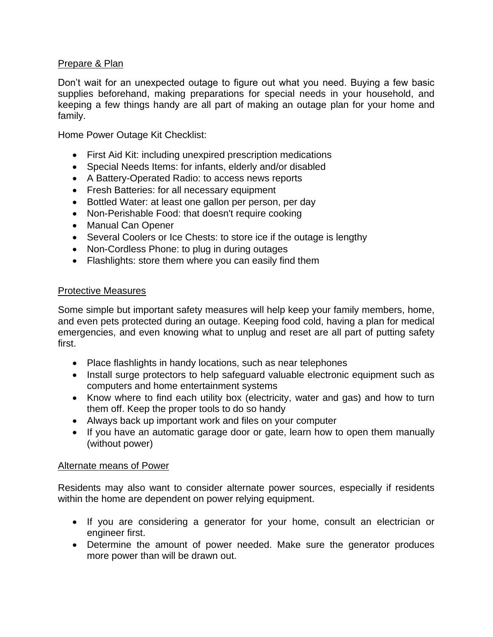## Prepare & Plan

Don't wait for an unexpected outage to figure out what you need. Buying a few basic supplies beforehand, making preparations for special needs in your household, and keeping a few things handy are all part of making an outage plan for your home and family.

Home Power Outage Kit Checklist:

- First Aid Kit: including unexpired prescription medications
- Special Needs Items: for infants, elderly and/or disabled
- A Battery-Operated Radio: to access news reports
- Fresh Batteries: for all necessary equipment
- Bottled Water: at least one gallon per person, per day
- Non-Perishable Food: that doesn't require cooking
- Manual Can Opener
- Several Coolers or Ice Chests: to store ice if the outage is lengthy
- Non-Cordless Phone: to plug in during outages
- Flashlights: store them where you can easily find them

### Protective Measures

Some simple but important safety measures will help keep your family members, home, and even pets protected during an outage. Keeping food cold, having a plan for medical emergencies, and even knowing what to unplug and reset are all part of putting safety first.

- Place flashlights in handy locations, such as near telephones
- Install surge protectors to help safeguard valuable electronic equipment such as computers and home entertainment systems
- Know where to find each utility box (electricity, water and gas) and how to turn them off. Keep the proper tools to do so handy
- Always back up important work and files on your computer
- If you have an automatic garage door or gate, learn how to open them manually (without power)

#### Alternate means of Power

Residents may also want to consider alternate power sources, especially if residents within the home are dependent on power relying equipment.

- If you are considering a generator for your home, consult an electrician or engineer first.
- Determine the amount of power needed. Make sure the generator produces more power than will be drawn out.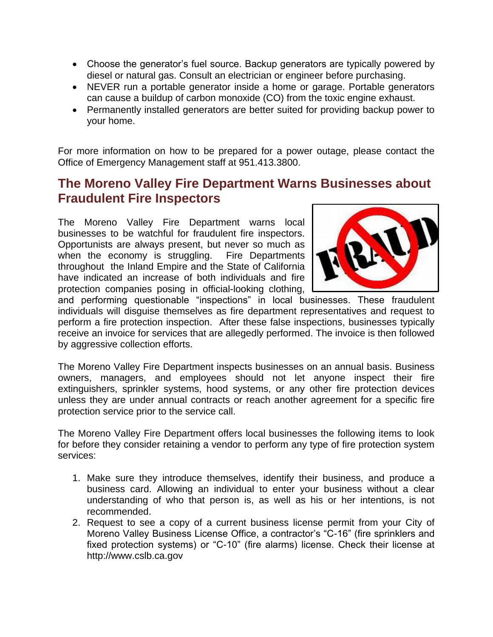- Choose the generator's fuel source. Backup generators are typically powered by diesel or natural gas. Consult an electrician or engineer before purchasing.
- NEVER run a portable generator inside a home or garage. Portable generators can cause a buildup of carbon monoxide (CO) from the toxic engine exhaust.
- Permanently installed generators are better suited for providing backup power to your home.

For more information on how to be prepared for a power outage, please contact the Office of Emergency Management staff at 951.413.3800.

# **The Moreno Valley Fire Department Warns Businesses about Fraudulent Fire Inspectors**

The Moreno Valley Fire Department warns local businesses to be watchful for fraudulent fire inspectors. Opportunists are always present, but never so much as when the economy is struggling. Fire Departments throughout the Inland Empire and the State of California have indicated an increase of both individuals and fire protection companies posing in official-looking clothing,



and performing questionable "inspections" in local businesses. These fraudulent individuals will disguise themselves as fire department representatives and request to perform a fire protection inspection. After these false inspections, businesses typically receive an invoice for services that are allegedly performed. The invoice is then followed by aggressive collection efforts.

The Moreno Valley Fire Department inspects businesses on an annual basis. Business owners, managers, and employees should not let anyone inspect their fire extinguishers, sprinkler systems, hood systems, or any other fire protection devices unless they are under annual contracts or reach another agreement for a specific fire protection service prior to the service call.

The Moreno Valley Fire Department offers local businesses the following items to look for before they consider retaining a vendor to perform any type of fire protection system services:

- 1. Make sure they introduce themselves, identify their business, and produce a business card. Allowing an individual to enter your business without a clear understanding of who that person is, as well as his or her intentions, is not recommended.
- 2. Request to see a copy of a current business license permit from your City of Moreno Valley Business License Office, a contractor's "C-16" (fire sprinklers and fixed protection systems) or "C-10" (fire alarms) license. Check their license at http://www.cslb.ca.gov